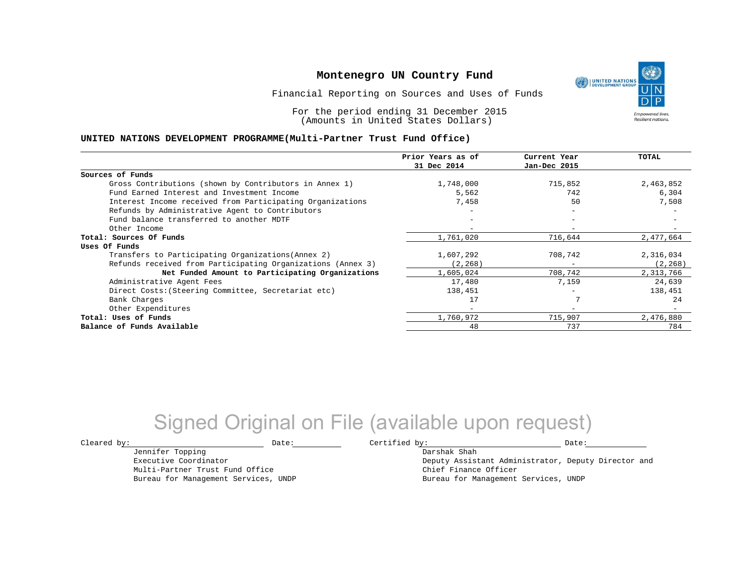Financial Reporting on Sources and Uses of Funds

For the period ending 31 December 2015 (Amounts in United States Dollars)

### **UNITED NATIONS DEVELOPMENT PROGRAMME(Multi-Partner Trust Fund Office)**

|                                                             | Prior Years as of        | Current Year             | TOTAL     |
|-------------------------------------------------------------|--------------------------|--------------------------|-----------|
|                                                             | 31 Dec 2014              | Jan-Dec 2015             |           |
| Sources of Funds                                            |                          |                          |           |
| Gross Contributions (shown by Contributors in Annex 1)      | 1,748,000                | 715,852                  | 2,463,852 |
| Fund Earned Interest and Investment Income                  | 5,562                    | 742                      | 6,304     |
| Interest Income received from Participating Organizations   | 7,458                    | 50                       | 7,508     |
| Refunds by Administrative Agent to Contributors             |                          | $-$                      |           |
| Fund balance transferred to another MDTF                    |                          |                          |           |
| Other Income                                                |                          |                          |           |
| Total: Sources Of Funds                                     | 1,761,020                | 716,644                  | 2,477,664 |
| Uses Of Funds                                               |                          |                          |           |
| Transfers to Participating Organizations (Annex 2)          | 1,607,292                | 708,742                  | 2,316,034 |
| Refunds received from Participating Organizations (Annex 3) | (2, 268)                 | $\overline{\phantom{m}}$ | (2, 268)  |
| Net Funded Amount to Participating Organizations            | 1,605,024                | 708,742                  | 2,313,766 |
| Administrative Agent Fees                                   | 17,480                   | 7,159                    | 24,639    |
| Direct Costs: (Steering Committee, Secretariat etc)         | 138,451                  |                          | 138,451   |
| Bank Charges                                                | 17                       |                          | 24        |
| Other Expenditures                                          | $\overline{\phantom{0}}$ | $\overline{\phantom{m}}$ |           |
| Total: Uses of Funds                                        | 1,760,972                | 715,907                  | 2,476,880 |
| Balance of Funds Available                                  | 48                       | 737                      | 784       |

## Signed Original on File (available upon request)

Jennifer Topping Executive Coordinator Multi-Partner Trust Fund Office Bureau for Management Services, UNDP

 $\texttt{Cleared by:}\footnotesize \begin{minipage}{0.9\linewidth} \texttt{Date:}\footnotesize \begin{minipage}{0.9\linewidth} \texttt{Date:}\footnotesize \begin{minipage}{0.9\linewidth} \end{minipage} \end{minipage}$ Darshak Shah

Deputy Assistant Administrator, Deputy Director and Chief Finance Officer Bureau for Management Services, UNDP

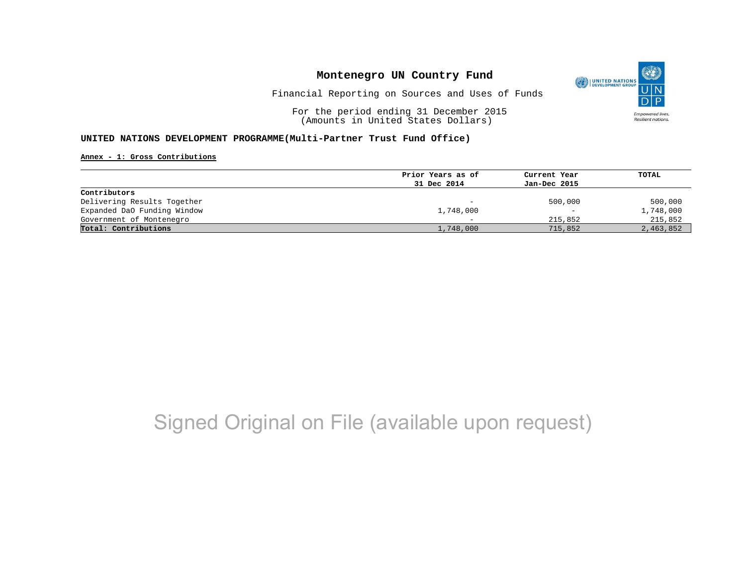

Financial Reporting on Sources and Uses of Funds

For the period ending 31 December 2015 (Amounts in United States Dollars)

### **UNITED NATIONS DEVELOPMENT PROGRAMME(Multi-Partner Trust Fund Office)**

#### **Annex - 1: Gross Contributions**

|                             | Prior Years as of | Current Year      | TOTAL     |
|-----------------------------|-------------------|-------------------|-----------|
|                             | 31 Dec 2014       | Jan-Dec 2015      |           |
| Contributors                |                   |                   |           |
| Delivering Results Together | $-$               | 500,000           | 500,000   |
| Expanded DaO Funding Window | 1,748,000         | $\qquad \qquad -$ | 1,748,000 |
| Government of Montenegro    |                   | 215,852           | 215,852   |
| Total: Contributions        | 1,748,000         | 715,852           | 2,463,852 |

# Signed Original on File (available upon request)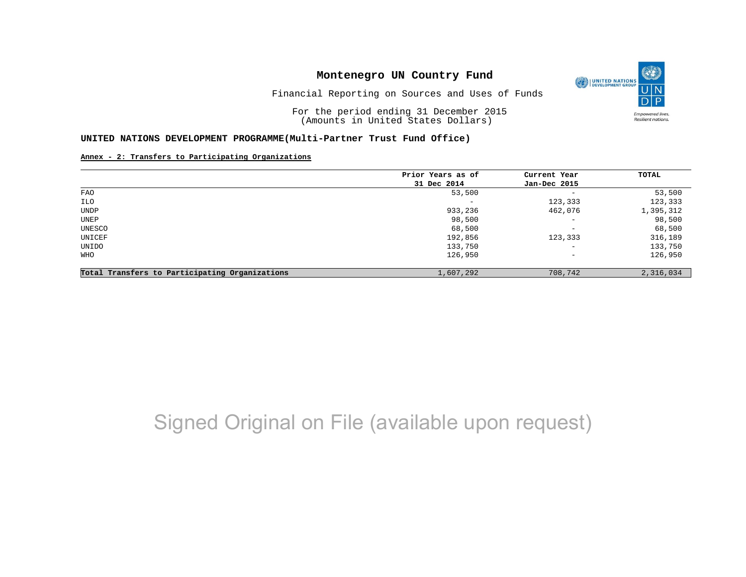

Financial Reporting on Sources and Uses of Funds

For the period ending 31 December 2015 (Amounts in United States Dollars)

### **UNITED NATIONS DEVELOPMENT PROGRAMME(Multi-Partner Trust Fund Office)**

**Annex - 2: Transfers to Participating Organizations**

|                                                | Prior Years as of | Current Year             | TOTAL     |
|------------------------------------------------|-------------------|--------------------------|-----------|
|                                                | 31 Dec 2014       | Jan-Dec 2015             |           |
| FAO                                            | 53,500            | $\qquad \qquad -$        | 53,500    |
| ILO                                            | -                 | 123,333                  | 123,333   |
| UNDP                                           | 933,236           | 462,076                  | 1,395,312 |
| UNEP                                           | 98,500            | $\overline{\phantom{0}}$ | 98,500    |
| UNESCO                                         | 68,500            | $-$                      | 68,500    |
| UNICEF                                         | 192,856           | 123,333                  | 316,189   |
| UNIDO                                          | 133,750           | $-$                      | 133,750   |
| WHO                                            | 126,950           | $-$                      | 126,950   |
| Total Transfers to Participating Organizations | 1,607,292         | 708,742                  | 2,316,034 |

# Signed Original on File (available upon request)